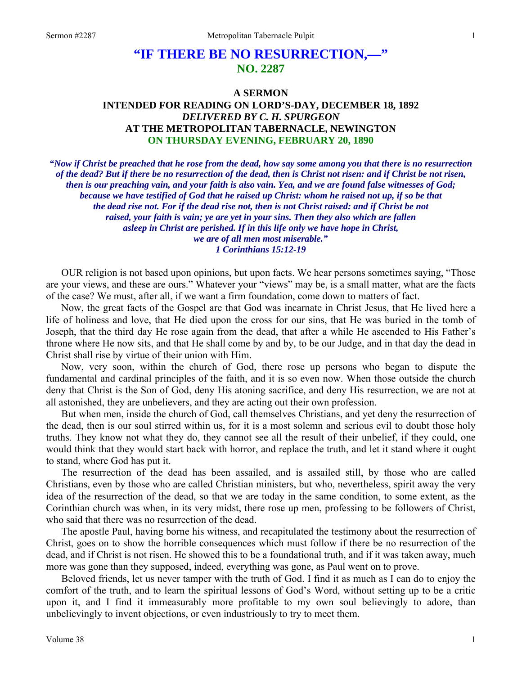# **"IF THERE BE NO RESURRECTION,—" NO. 2287**

## **A SERMON INTENDED FOR READING ON LORD'S-DAY, DECEMBER 18, 1892**  *DELIVERED BY C. H. SPURGEON*  **AT THE METROPOLITAN TABERNACLE, NEWINGTON ON THURSDAY EVENING, FEBRUARY 20, 1890**

*"Now if Christ be preached that he rose from the dead, how say some among you that there is no resurrection of the dead? But if there be no resurrection of the dead, then is Christ not risen: and if Christ be not risen, then is our preaching vain, and your faith is also vain. Yea, and we are found false witnesses of God; because we have testified of God that he raised up Christ: whom he raised not up, if so be that the dead rise not. For if the dead rise not, then is not Christ raised: and if Christ be not raised, your faith is vain; ye are yet in your sins. Then they also which are fallen asleep in Christ are perished. If in this life only we have hope in Christ, we are of all men most miserable." 1 Corinthians 15:12-19* 

OUR religion is not based upon opinions, but upon facts. We hear persons sometimes saying, "Those are your views, and these are ours." Whatever your "views" may be, is a small matter, what are the facts of the case? We must, after all, if we want a firm foundation, come down to matters of fact.

Now, the great facts of the Gospel are that God was incarnate in Christ Jesus, that He lived here a life of holiness and love, that He died upon the cross for our sins, that He was buried in the tomb of Joseph, that the third day He rose again from the dead, that after a while He ascended to His Father's throne where He now sits, and that He shall come by and by, to be our Judge, and in that day the dead in Christ shall rise by virtue of their union with Him.

Now, very soon, within the church of God, there rose up persons who began to dispute the fundamental and cardinal principles of the faith, and it is so even now. When those outside the church deny that Christ is the Son of God, deny His atoning sacrifice, and deny His resurrection, we are not at all astonished, they are unbelievers, and they are acting out their own profession.

But when men, inside the church of God, call themselves Christians, and yet deny the resurrection of the dead, then is our soul stirred within us, for it is a most solemn and serious evil to doubt those holy truths. They know not what they do, they cannot see all the result of their unbelief, if they could, one would think that they would start back with horror, and replace the truth, and let it stand where it ought to stand, where God has put it.

The resurrection of the dead has been assailed, and is assailed still, by those who are called Christians, even by those who are called Christian ministers, but who, nevertheless, spirit away the very idea of the resurrection of the dead, so that we are today in the same condition, to some extent, as the Corinthian church was when, in its very midst, there rose up men, professing to be followers of Christ, who said that there was no resurrection of the dead.

The apostle Paul, having borne his witness, and recapitulated the testimony about the resurrection of Christ, goes on to show the horrible consequences which must follow if there be no resurrection of the dead, and if Christ is not risen. He showed this to be a foundational truth, and if it was taken away, much more was gone than they supposed, indeed, everything was gone, as Paul went on to prove.

Beloved friends, let us never tamper with the truth of God. I find it as much as I can do to enjoy the comfort of the truth, and to learn the spiritual lessons of God's Word, without setting up to be a critic upon it, and I find it immeasurably more profitable to my own soul believingly to adore, than unbelievingly to invent objections, or even industriously to try to meet them.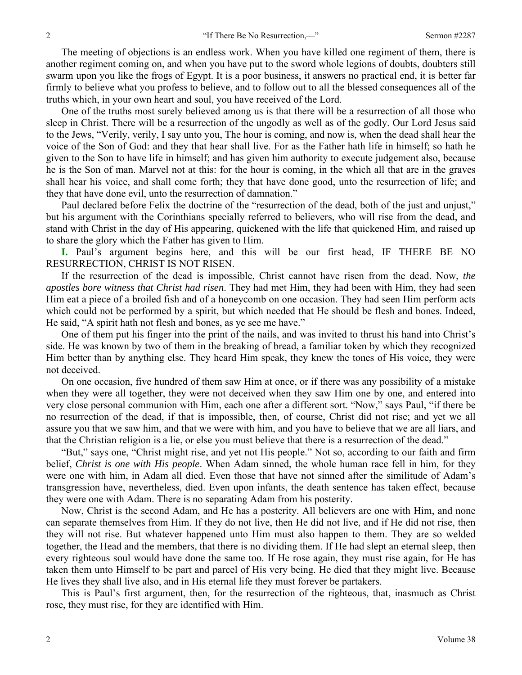The meeting of objections is an endless work. When you have killed one regiment of them, there is another regiment coming on, and when you have put to the sword whole legions of doubts, doubters still swarm upon you like the frogs of Egypt. It is a poor business, it answers no practical end, it is better far firmly to believe what you profess to believe, and to follow out to all the blessed consequences all of the truths which, in your own heart and soul, you have received of the Lord.

One of the truths most surely believed among us is that there will be a resurrection of all those who sleep in Christ. There will be a resurrection of the ungodly as well as of the godly. Our Lord Jesus said to the Jews, "Verily, verily, I say unto you, The hour is coming, and now is, when the dead shall hear the voice of the Son of God: and they that hear shall live. For as the Father hath life in himself; so hath he given to the Son to have life in himself; and has given him authority to execute judgement also, because he is the Son of man. Marvel not at this: for the hour is coming, in the which all that are in the graves shall hear his voice, and shall come forth; they that have done good, unto the resurrection of life; and they that have done evil, unto the resurrection of damnation."

Paul declared before Felix the doctrine of the "resurrection of the dead, both of the just and unjust," but his argument with the Corinthians specially referred to believers, who will rise from the dead, and stand with Christ in the day of His appearing, quickened with the life that quickened Him, and raised up to share the glory which the Father has given to Him.

**I.** Paul's argument begins here, and this will be our first head, IF THERE BE NO RESURRECTION, CHRIST IS NOT RISEN.

If the resurrection of the dead is impossible, Christ cannot have risen from the dead. Now, *the apostles bore witness that Christ had risen*. They had met Him, they had been with Him, they had seen Him eat a piece of a broiled fish and of a honeycomb on one occasion. They had seen Him perform acts which could not be performed by a spirit, but which needed that He should be flesh and bones. Indeed, He said, "A spirit hath not flesh and bones, as ye see me have."

One of them put his finger into the print of the nails, and was invited to thrust his hand into Christ's side. He was known by two of them in the breaking of bread, a familiar token by which they recognized Him better than by anything else. They heard Him speak, they knew the tones of His voice, they were not deceived.

On one occasion, five hundred of them saw Him at once, or if there was any possibility of a mistake when they were all together, they were not deceived when they saw Him one by one, and entered into very close personal communion with Him, each one after a different sort. "Now," says Paul, "if there be no resurrection of the dead, if that is impossible, then, of course, Christ did not rise; and yet we all assure you that we saw him, and that we were with him, and you have to believe that we are all liars, and that the Christian religion is a lie, or else you must believe that there is a resurrection of the dead."

"But," says one, "Christ might rise, and yet not His people." Not so, according to our faith and firm belief, *Christ is one with His people*. When Adam sinned, the whole human race fell in him, for they were one with him, in Adam all died. Even those that have not sinned after the similitude of Adam's transgression have, nevertheless, died. Even upon infants, the death sentence has taken effect, because they were one with Adam. There is no separating Adam from his posterity.

Now, Christ is the second Adam, and He has a posterity. All believers are one with Him, and none can separate themselves from Him. If they do not live, then He did not live, and if He did not rise, then they will not rise. But whatever happened unto Him must also happen to them. They are so welded together, the Head and the members, that there is no dividing them. If He had slept an eternal sleep, then every righteous soul would have done the same too. If He rose again, they must rise again, for He has taken them unto Himself to be part and parcel of His very being. He died that they might live. Because He lives they shall live also, and in His eternal life they must forever be partakers.

This is Paul's first argument, then, for the resurrection of the righteous, that, inasmuch as Christ rose, they must rise, for they are identified with Him.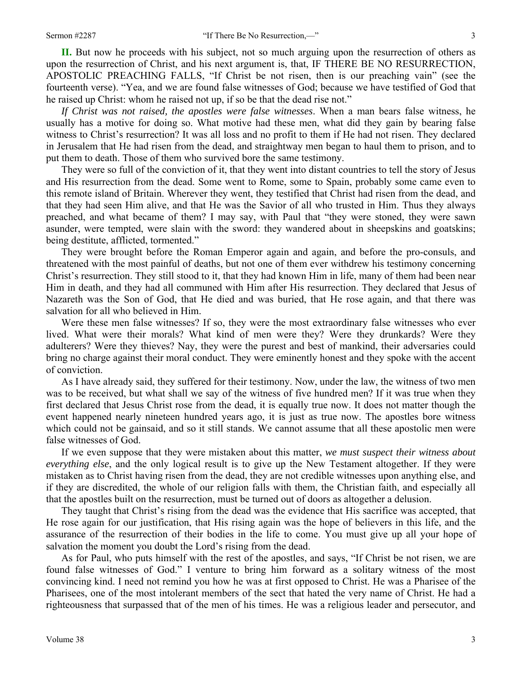**II.** But now he proceeds with his subject, not so much arguing upon the resurrection of others as upon the resurrection of Christ, and his next argument is, that, IF THERE BE NO RESURRECTION, APOSTOLIC PREACHING FALLS, "If Christ be not risen, then is our preaching vain" (see the fourteenth verse). "Yea, and we are found false witnesses of God; because we have testified of God that he raised up Christ: whom he raised not up, if so be that the dead rise not."

*If Christ was not raised, the apostles were false witnesses*. When a man bears false witness, he usually has a motive for doing so. What motive had these men, what did they gain by bearing false witness to Christ's resurrection? It was all loss and no profit to them if He had not risen. They declared in Jerusalem that He had risen from the dead, and straightway men began to haul them to prison, and to put them to death. Those of them who survived bore the same testimony.

They were so full of the conviction of it, that they went into distant countries to tell the story of Jesus and His resurrection from the dead. Some went to Rome, some to Spain, probably some came even to this remote island of Britain. Wherever they went, they testified that Christ had risen from the dead, and that they had seen Him alive, and that He was the Savior of all who trusted in Him. Thus they always preached, and what became of them? I may say, with Paul that "they were stoned, they were sawn asunder, were tempted, were slain with the sword: they wandered about in sheepskins and goatskins; being destitute, afflicted, tormented."

They were brought before the Roman Emperor again and again, and before the pro-consuls, and threatened with the most painful of deaths, but not one of them ever withdrew his testimony concerning Christ's resurrection. They still stood to it, that they had known Him in life, many of them had been near Him in death, and they had all communed with Him after His resurrection. They declared that Jesus of Nazareth was the Son of God, that He died and was buried, that He rose again, and that there was salvation for all who believed in Him.

Were these men false witnesses? If so, they were the most extraordinary false witnesses who ever lived. What were their morals? What kind of men were they? Were they drunkards? Were they adulterers? Were they thieves? Nay, they were the purest and best of mankind, their adversaries could bring no charge against their moral conduct. They were eminently honest and they spoke with the accent of conviction.

As I have already said, they suffered for their testimony. Now, under the law, the witness of two men was to be received, but what shall we say of the witness of five hundred men? If it was true when they first declared that Jesus Christ rose from the dead, it is equally true now. It does not matter though the event happened nearly nineteen hundred years ago, it is just as true now. The apostles bore witness which could not be gainsaid, and so it still stands. We cannot assume that all these apostolic men were false witnesses of God.

If we even suppose that they were mistaken about this matter, *we must suspect their witness about everything else*, and the only logical result is to give up the New Testament altogether. If they were mistaken as to Christ having risen from the dead, they are not credible witnesses upon anything else, and if they are discredited, the whole of our religion falls with them, the Christian faith, and especially all that the apostles built on the resurrection, must be turned out of doors as altogether a delusion.

They taught that Christ's rising from the dead was the evidence that His sacrifice was accepted, that He rose again for our justification, that His rising again was the hope of believers in this life, and the assurance of the resurrection of their bodies in the life to come. You must give up all your hope of salvation the moment you doubt the Lord's rising from the dead.

As for Paul, who puts himself with the rest of the apostles, and says, "If Christ be not risen, we are found false witnesses of God." I venture to bring him forward as a solitary witness of the most convincing kind. I need not remind you how he was at first opposed to Christ. He was a Pharisee of the Pharisees, one of the most intolerant members of the sect that hated the very name of Christ. He had a righteousness that surpassed that of the men of his times. He was a religious leader and persecutor, and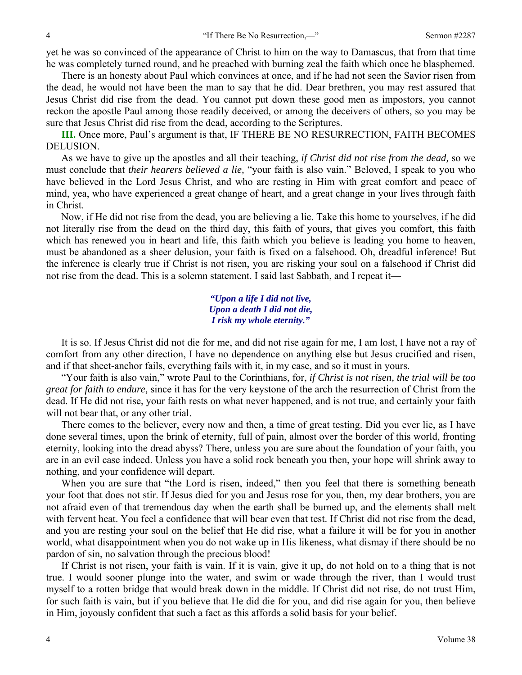yet he was so convinced of the appearance of Christ to him on the way to Damascus, that from that time he was completely turned round, and he preached with burning zeal the faith which once he blasphemed.

There is an honesty about Paul which convinces at once, and if he had not seen the Savior risen from the dead, he would not have been the man to say that he did. Dear brethren, you may rest assured that Jesus Christ did rise from the dead. You cannot put down these good men as impostors, you cannot reckon the apostle Paul among those readily deceived, or among the deceivers of others, so you may be sure that Jesus Christ did rise from the dead, according to the Scriptures.

**III.** Once more, Paul's argument is that, IF THERE BE NO RESURRECTION, FAITH BECOMES DELUSION.

As we have to give up the apostles and all their teaching, *if Christ did not rise from the dead,* so we must conclude that *their hearers believed a lie,* "your faith is also vain." Beloved, I speak to you who have believed in the Lord Jesus Christ, and who are resting in Him with great comfort and peace of mind, yea, who have experienced a great change of heart, and a great change in your lives through faith in Christ.

Now, if He did not rise from the dead, you are believing a lie. Take this home to yourselves, if he did not literally rise from the dead on the third day, this faith of yours, that gives you comfort, this faith which has renewed you in heart and life, this faith which you believe is leading you home to heaven, must be abandoned as a sheer delusion, your faith is fixed on a falsehood. Oh, dreadful inference! But the inference is clearly true if Christ is not risen, you are risking your soul on a falsehood if Christ did not rise from the dead. This is a solemn statement. I said last Sabbath, and I repeat it—

> *"Upon a life I did not live, Upon a death I did not die, I risk my whole eternity."*

It is so. If Jesus Christ did not die for me, and did not rise again for me, I am lost, I have not a ray of comfort from any other direction, I have no dependence on anything else but Jesus crucified and risen, and if that sheet-anchor fails, everything fails with it, in my case, and so it must in yours.

"Your faith is also vain," wrote Paul to the Corinthians, for, *if Christ is not risen, the trial will be too great for faith to endure,* since it has for the very keystone of the arch the resurrection of Christ from the dead. If He did not rise, your faith rests on what never happened, and is not true, and certainly your faith will not bear that, or any other trial.

There comes to the believer, every now and then, a time of great testing. Did you ever lie, as I have done several times, upon the brink of eternity, full of pain, almost over the border of this world, fronting eternity, looking into the dread abyss? There, unless you are sure about the foundation of your faith, you are in an evil case indeed. Unless you have a solid rock beneath you then, your hope will shrink away to nothing, and your confidence will depart.

When you are sure that "the Lord is risen, indeed," then you feel that there is something beneath your foot that does not stir. If Jesus died for you and Jesus rose for you, then, my dear brothers, you are not afraid even of that tremendous day when the earth shall be burned up, and the elements shall melt with fervent heat. You feel a confidence that will bear even that test. If Christ did not rise from the dead, and you are resting your soul on the belief that He did rise, what a failure it will be for you in another world, what disappointment when you do not wake up in His likeness, what dismay if there should be no pardon of sin, no salvation through the precious blood!

If Christ is not risen, your faith is vain. If it is vain, give it up, do not hold on to a thing that is not true. I would sooner plunge into the water, and swim or wade through the river, than I would trust myself to a rotten bridge that would break down in the middle. If Christ did not rise, do not trust Him, for such faith is vain, but if you believe that He did die for you, and did rise again for you, then believe in Him, joyously confident that such a fact as this affords a solid basis for your belief.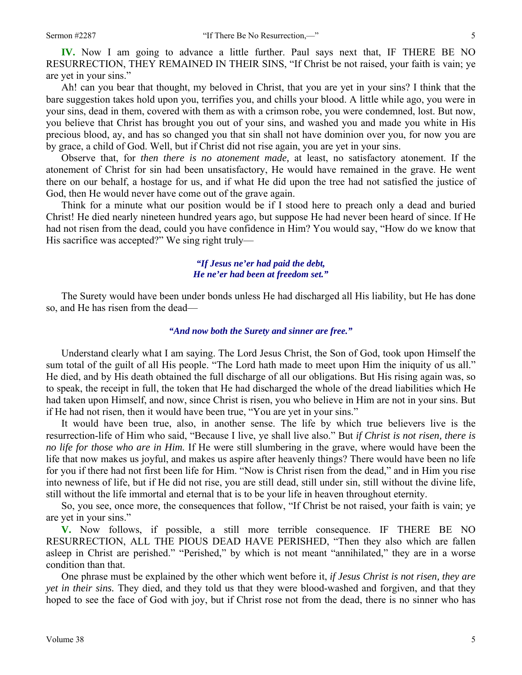**IV.** Now I am going to advance a little further. Paul says next that, IF THERE BE NO RESURRECTION, THEY REMAINED IN THEIR SINS, "If Christ be not raised, your faith is vain; ye are yet in your sins."

Ah! can you bear that thought, my beloved in Christ, that you are yet in your sins? I think that the bare suggestion takes hold upon you, terrifies you, and chills your blood. A little while ago, you were in your sins, dead in them, covered with them as with a crimson robe, you were condemned, lost. But now, you believe that Christ has brought you out of your sins, and washed you and made you white in His precious blood, ay, and has so changed you that sin shall not have dominion over you, for now you are by grace, a child of God. Well, but if Christ did not rise again, you are yet in your sins.

Observe that, for *then there is no atonement made,* at least, no satisfactory atonement. If the atonement of Christ for sin had been unsatisfactory, He would have remained in the grave. He went there on our behalf, a hostage for us, and if what He did upon the tree had not satisfied the justice of God, then He would never have come out of the grave again.

Think for a minute what our position would be if I stood here to preach only a dead and buried Christ! He died nearly nineteen hundred years ago, but suppose He had never been heard of since. If He had not risen from the dead, could you have confidence in Him? You would say, "How do we know that His sacrifice was accepted?" We sing right truly—

## *"If Jesus ne'er had paid the debt, He ne'er had been at freedom set."*

The Surety would have been under bonds unless He had discharged all His liability, but He has done so, and He has risen from the dead—

#### *"And now both the Surety and sinner are free."*

Understand clearly what I am saying. The Lord Jesus Christ, the Son of God, took upon Himself the sum total of the guilt of all His people. "The Lord hath made to meet upon Him the iniquity of us all." He died, and by His death obtained the full discharge of all our obligations. But His rising again was, so to speak, the receipt in full, the token that He had discharged the whole of the dread liabilities which He had taken upon Himself, and now, since Christ is risen, you who believe in Him are not in your sins. But if He had not risen, then it would have been true, "You are yet in your sins."

It would have been true, also, in another sense. The life by which true believers live is the resurrection-life of Him who said, "Because I live, ye shall live also." But *if Christ is not risen, there is no life for those who are in Him.* If He were still slumbering in the grave, where would have been the life that now makes us joyful, and makes us aspire after heavenly things? There would have been no life for you if there had not first been life for Him. "Now is Christ risen from the dead," and in Him you rise into newness of life, but if He did not rise, you are still dead, still under sin, still without the divine life, still without the life immortal and eternal that is to be your life in heaven throughout eternity.

So, you see, once more, the consequences that follow, "If Christ be not raised, your faith is vain; ye are yet in your sins."

**V.** Now follows, if possible, a still more terrible consequence. IF THERE BE NO RESURRECTION, ALL THE PIOUS DEAD HAVE PERISHED, "Then they also which are fallen asleep in Christ are perished." "Perished," by which is not meant "annihilated," they are in a worse condition than that.

One phrase must be explained by the other which went before it, *if Jesus Christ is not risen, they are yet in their sins.* They died, and they told us that they were blood-washed and forgiven, and that they hoped to see the face of God with joy, but if Christ rose not from the dead, there is no sinner who has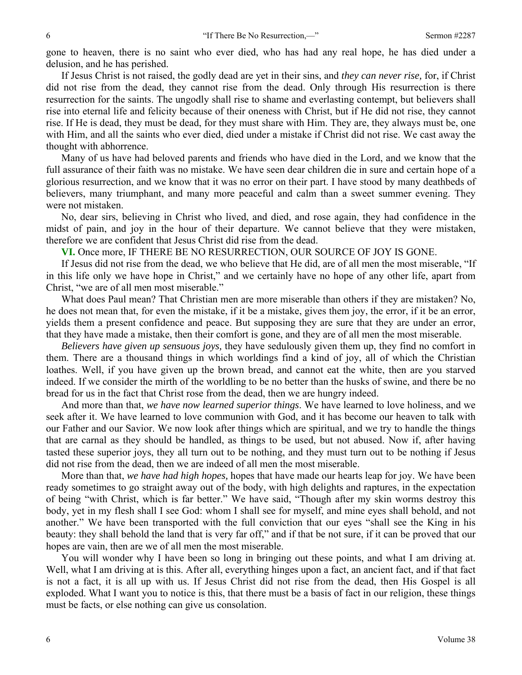gone to heaven, there is no saint who ever died, who has had any real hope, he has died under a delusion, and he has perished.

If Jesus Christ is not raised, the godly dead are yet in their sins, and *they can never rise,* for, if Christ did not rise from the dead, they cannot rise from the dead. Only through His resurrection is there resurrection for the saints. The ungodly shall rise to shame and everlasting contempt, but believers shall rise into eternal life and felicity because of their oneness with Christ, but if He did not rise, they cannot rise. If He is dead, they must be dead, for they must share with Him. They are, they always must be, one with Him, and all the saints who ever died, died under a mistake if Christ did not rise. We cast away the thought with abhorrence.

Many of us have had beloved parents and friends who have died in the Lord, and we know that the full assurance of their faith was no mistake. We have seen dear children die in sure and certain hope of a glorious resurrection, and we know that it was no error on their part. I have stood by many deathbeds of believers, many triumphant, and many more peaceful and calm than a sweet summer evening. They were not mistaken.

No, dear sirs, believing in Christ who lived, and died, and rose again, they had confidence in the midst of pain, and joy in the hour of their departure. We cannot believe that they were mistaken, therefore we are confident that Jesus Christ did rise from the dead.

**VI.** Once more, IF THERE BE NO RESURRECTION, OUR SOURCE OF JOY IS GONE.

If Jesus did not rise from the dead, we who believe that He did, are of all men the most miserable, "If in this life only we have hope in Christ," and we certainly have no hope of any other life, apart from Christ, "we are of all men most miserable."

What does Paul mean? That Christian men are more miserable than others if they are mistaken? No, he does not mean that, for even the mistake, if it be a mistake, gives them joy, the error, if it be an error, yields them a present confidence and peace. But supposing they are sure that they are under an error, that they have made a mistake, then their comfort is gone, and they are of all men the most miserable.

*Believers have given up sensuous joys,* they have sedulously given them up, they find no comfort in them. There are a thousand things in which worldings find a kind of joy, all of which the Christian loathes. Well, if you have given up the brown bread, and cannot eat the white, then are you starved indeed. If we consider the mirth of the worldling to be no better than the husks of swine, and there be no bread for us in the fact that Christ rose from the dead, then we are hungry indeed.

And more than that, *we have now learned superior things*. We have learned to love holiness, and we seek after it. We have learned to love communion with God, and it has become our heaven to talk with our Father and our Savior. We now look after things which are spiritual, and we try to handle the things that are carnal as they should be handled, as things to be used, but not abused. Now if, after having tasted these superior joys, they all turn out to be nothing, and they must turn out to be nothing if Jesus did not rise from the dead, then we are indeed of all men the most miserable.

More than that, *we have had high hopes,* hopes that have made our hearts leap for joy. We have been ready sometimes to go straight away out of the body, with high delights and raptures, in the expectation of being "with Christ, which is far better." We have said, "Though after my skin worms destroy this body, yet in my flesh shall I see God: whom I shall see for myself, and mine eyes shall behold, and not another." We have been transported with the full conviction that our eyes "shall see the King in his beauty: they shall behold the land that is very far off," and if that be not sure, if it can be proved that our hopes are vain, then are we of all men the most miserable.

You will wonder why I have been so long in bringing out these points, and what I am driving at. Well, what I am driving at is this. After all, everything hinges upon a fact, an ancient fact, and if that fact is not a fact, it is all up with us. If Jesus Christ did not rise from the dead, then His Gospel is all exploded. What I want you to notice is this, that there must be a basis of fact in our religion, these things must be facts, or else nothing can give us consolation.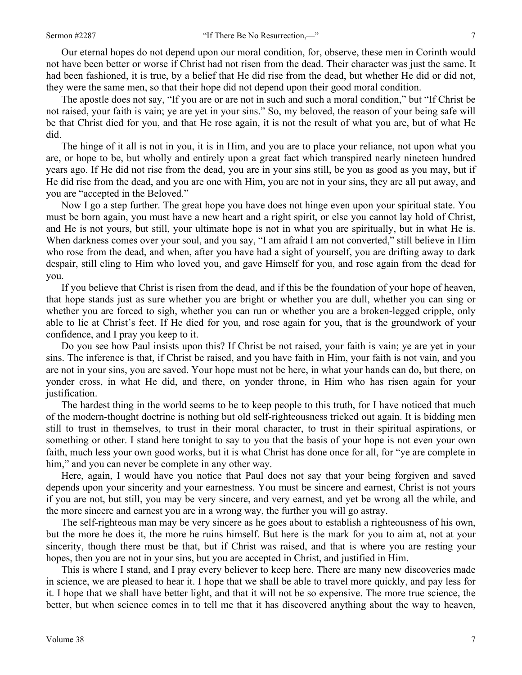Our eternal hopes do not depend upon our moral condition, for, observe, these men in Corinth would not have been better or worse if Christ had not risen from the dead. Their character was just the same. It had been fashioned, it is true, by a belief that He did rise from the dead, but whether He did or did not, they were the same men, so that their hope did not depend upon their good moral condition.

The apostle does not say, "If you are or are not in such and such a moral condition," but "If Christ be not raised, your faith is vain; ye are yet in your sins." So, my beloved, the reason of your being safe will be that Christ died for you, and that He rose again, it is not the result of what you are, but of what He did.

The hinge of it all is not in you, it is in Him, and you are to place your reliance, not upon what you are, or hope to be, but wholly and entirely upon a great fact which transpired nearly nineteen hundred years ago. If He did not rise from the dead, you are in your sins still, be you as good as you may, but if He did rise from the dead, and you are one with Him, you are not in your sins, they are all put away, and you are "accepted in the Beloved."

Now I go a step further. The great hope you have does not hinge even upon your spiritual state. You must be born again, you must have a new heart and a right spirit, or else you cannot lay hold of Christ, and He is not yours, but still, your ultimate hope is not in what you are spiritually, but in what He is. When darkness comes over your soul, and you say, "I am afraid I am not converted," still believe in Him who rose from the dead, and when, after you have had a sight of yourself, you are drifting away to dark despair, still cling to Him who loved you, and gave Himself for you, and rose again from the dead for you.

If you believe that Christ is risen from the dead, and if this be the foundation of your hope of heaven, that hope stands just as sure whether you are bright or whether you are dull, whether you can sing or whether you are forced to sigh, whether you can run or whether you are a broken-legged cripple, only able to lie at Christ's feet. If He died for you, and rose again for you, that is the groundwork of your confidence, and I pray you keep to it.

Do you see how Paul insists upon this? If Christ be not raised, your faith is vain; ye are yet in your sins. The inference is that, if Christ be raised, and you have faith in Him, your faith is not vain, and you are not in your sins, you are saved. Your hope must not be here, in what your hands can do, but there, on yonder cross, in what He did, and there, on yonder throne, in Him who has risen again for your justification.

The hardest thing in the world seems to be to keep people to this truth, for I have noticed that much of the modern-thought doctrine is nothing but old self-righteousness tricked out again. It is bidding men still to trust in themselves, to trust in their moral character, to trust in their spiritual aspirations, or something or other. I stand here tonight to say to you that the basis of your hope is not even your own faith, much less your own good works, but it is what Christ has done once for all, for "ye are complete in him," and you can never be complete in any other way.

Here, again, I would have you notice that Paul does not say that your being forgiven and saved depends upon your sincerity and your earnestness. You must be sincere and earnest, Christ is not yours if you are not, but still, you may be very sincere, and very earnest, and yet be wrong all the while, and the more sincere and earnest you are in a wrong way, the further you will go astray.

The self-righteous man may be very sincere as he goes about to establish a righteousness of his own, but the more he does it, the more he ruins himself. But here is the mark for you to aim at, not at your sincerity, though there must be that, but if Christ was raised, and that is where you are resting your hopes, then you are not in your sins, but you are accepted in Christ, and justified in Him.

This is where I stand, and I pray every believer to keep here. There are many new discoveries made in science, we are pleased to hear it. I hope that we shall be able to travel more quickly, and pay less for it. I hope that we shall have better light, and that it will not be so expensive. The more true science, the better, but when science comes in to tell me that it has discovered anything about the way to heaven,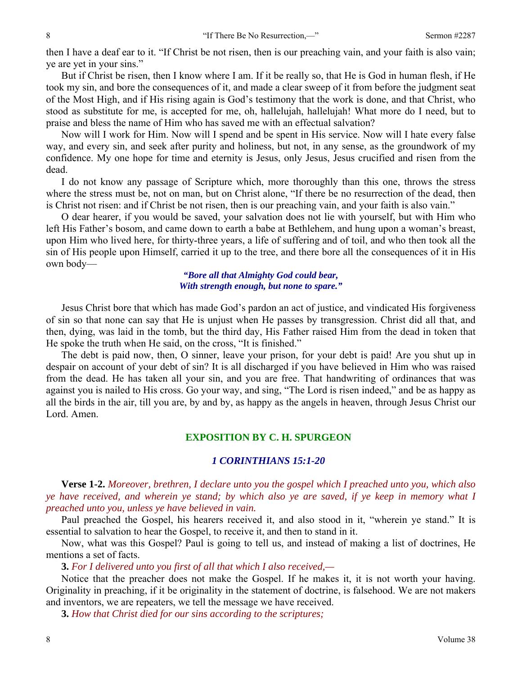then I have a deaf ear to it. "If Christ be not risen, then is our preaching vain, and your faith is also vain; ye are yet in your sins."

But if Christ be risen, then I know where I am. If it be really so, that He is God in human flesh, if He took my sin, and bore the consequences of it, and made a clear sweep of it from before the judgment seat of the Most High, and if His rising again is God's testimony that the work is done, and that Christ, who stood as substitute for me, is accepted for me, oh, hallelujah, hallelujah! What more do I need, but to praise and bless the name of Him who has saved me with an effectual salvation?

Now will I work for Him. Now will I spend and be spent in His service. Now will I hate every false way, and every sin, and seek after purity and holiness, but not, in any sense, as the groundwork of my confidence. My one hope for time and eternity is Jesus, only Jesus, Jesus crucified and risen from the dead.

I do not know any passage of Scripture which, more thoroughly than this one, throws the stress where the stress must be, not on man, but on Christ alone, "If there be no resurrection of the dead, then is Christ not risen: and if Christ be not risen, then is our preaching vain, and your faith is also vain."

O dear hearer, if you would be saved, your salvation does not lie with yourself, but with Him who left His Father's bosom, and came down to earth a babe at Bethlehem, and hung upon a woman's breast, upon Him who lived here, for thirty-three years, a life of suffering and of toil, and who then took all the sin of His people upon Himself, carried it up to the tree, and there bore all the consequences of it in His own body—

> *"Bore all that Almighty God could bear, With strength enough, but none to spare."*

Jesus Christ bore that which has made God's pardon an act of justice, and vindicated His forgiveness of sin so that none can say that He is unjust when He passes by transgression. Christ did all that, and then, dying, was laid in the tomb, but the third day, His Father raised Him from the dead in token that He spoke the truth when He said, on the cross, "It is finished."

The debt is paid now, then, O sinner, leave your prison, for your debt is paid! Are you shut up in despair on account of your debt of sin? It is all discharged if you have believed in Him who was raised from the dead. He has taken all your sin, and you are free. That handwriting of ordinances that was against you is nailed to His cross. Go your way, and sing, "The Lord is risen indeed," and be as happy as all the birds in the air, till you are, by and by, as happy as the angels in heaven, through Jesus Christ our Lord. Amen.

## **EXPOSITION BY C. H. SPURGEON**

## *1 CORINTHIANS 15:1-20*

**Verse 1-2.** *Moreover, brethren, I declare unto you the gospel which I preached unto you, which also ye have received, and wherein ye stand; by which also ye are saved, if ye keep in memory what I preached unto you, unless ye have believed in vain.*

Paul preached the Gospel, his hearers received it, and also stood in it, "wherein ye stand." It is essential to salvation to hear the Gospel, to receive it, and then to stand in it.

Now, what was this Gospel? Paul is going to tell us, and instead of making a list of doctrines, He mentions a set of facts.

**3.** *For I delivered unto you first of all that which I also received,—*

Notice that the preacher does not make the Gospel. If he makes it, it is not worth your having. Originality in preaching, if it be originality in the statement of doctrine, is falsehood. We are not makers and inventors, we are repeaters, we tell the message we have received.

**3.** *How that Christ died for our sins according to the scriptures;*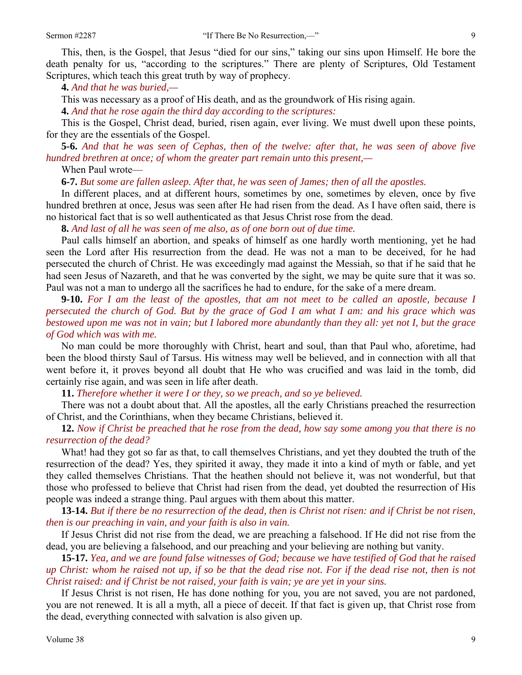This, then, is the Gospel, that Jesus "died for our sins," taking our sins upon Himself. He bore the death penalty for us, "according to the scriptures." There are plenty of Scriptures, Old Testament Scriptures, which teach this great truth by way of prophecy.

**4.** *And that he was buried,—*

This was necessary as a proof of His death, and as the groundwork of His rising again.

**4.** *And that he rose again the third day according to the scriptures:*

This is the Gospel, Christ dead, buried, risen again, ever living. We must dwell upon these points, for they are the essentials of the Gospel.

**5-6.** *And that he was seen of Cephas, then of the twelve: after that, he was seen of above five hundred brethren at once; of whom the greater part remain unto this present,—*

When Paul wrote—

**6-7.** *But some are fallen asleep. After that, he was seen of James; then of all the apostles.*

In different places, and at different hours, sometimes by one, sometimes by eleven, once by five hundred brethren at once, Jesus was seen after He had risen from the dead. As I have often said, there is no historical fact that is so well authenticated as that Jesus Christ rose from the dead.

**8.** *And last of all he was seen of me also, as of one born out of due time.*

Paul calls himself an abortion, and speaks of himself as one hardly worth mentioning, yet he had seen the Lord after His resurrection from the dead. He was not a man to be deceived, for he had persecuted the church of Christ. He was exceedingly mad against the Messiah, so that if he said that he had seen Jesus of Nazareth, and that he was converted by the sight, we may be quite sure that it was so. Paul was not a man to undergo all the sacrifices he had to endure, for the sake of a mere dream.

**9-10.** *For I am the least of the apostles, that am not meet to be called an apostle, because I persecuted the church of God. But by the grace of God I am what I am: and his grace which was bestowed upon me was not in vain; but I labored more abundantly than they all: yet not I, but the grace of God which was with me.*

No man could be more thoroughly with Christ, heart and soul, than that Paul who, aforetime, had been the blood thirsty Saul of Tarsus. His witness may well be believed, and in connection with all that went before it, it proves beyond all doubt that He who was crucified and was laid in the tomb, did certainly rise again, and was seen in life after death.

**11.** *Therefore whether it were I or they, so we preach, and so ye believed.*

There was not a doubt about that. All the apostles, all the early Christians preached the resurrection of Christ, and the Corinthians, when they became Christians, believed it.

**12.** *Now if Christ be preached that he rose from the dead, how say some among you that there is no resurrection of the dead?*

What! had they got so far as that, to call themselves Christians, and yet they doubted the truth of the resurrection of the dead? Yes, they spirited it away, they made it into a kind of myth or fable, and yet they called themselves Christians. That the heathen should not believe it, was not wonderful, but that those who professed to believe that Christ had risen from the dead, yet doubted the resurrection of His people was indeed a strange thing. Paul argues with them about this matter.

**13-14.** *But if there be no resurrection of the dead, then is Christ not risen: and if Christ be not risen, then is our preaching in vain, and your faith is also in vain.*

If Jesus Christ did not rise from the dead, we are preaching a falsehood. If He did not rise from the dead, you are believing a falsehood, and our preaching and your believing are nothing but vanity.

**15-17.** *Yea, and we are found false witnesses of God; because we have testified of God that he raised up Christ: whom he raised not up, if so be that the dead rise not. For if the dead rise not, then is not Christ raised: and if Christ be not raised, your faith is vain; ye are yet in your sins.*

If Jesus Christ is not risen, He has done nothing for you, you are not saved, you are not pardoned, you are not renewed. It is all a myth, all a piece of deceit. If that fact is given up, that Christ rose from the dead, everything connected with salvation is also given up.